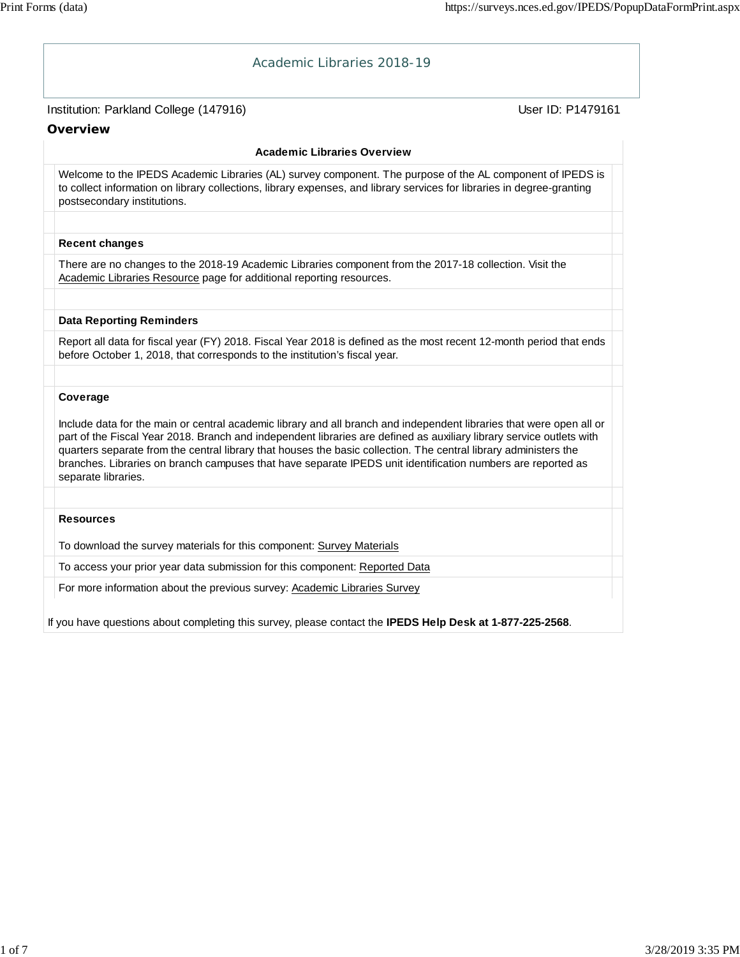| Academic Libraries 2018-19                                                                                                                                                                                                                                                                                                                                                                                                                                                                             |                   |
|--------------------------------------------------------------------------------------------------------------------------------------------------------------------------------------------------------------------------------------------------------------------------------------------------------------------------------------------------------------------------------------------------------------------------------------------------------------------------------------------------------|-------------------|
| Institution: Parkland College (147916)                                                                                                                                                                                                                                                                                                                                                                                                                                                                 | User ID: P1479161 |
| Overview                                                                                                                                                                                                                                                                                                                                                                                                                                                                                               |                   |
| <b>Academic Libraries Overview</b>                                                                                                                                                                                                                                                                                                                                                                                                                                                                     |                   |
| Welcome to the IPEDS Academic Libraries (AL) survey component. The purpose of the AL component of IPEDS is<br>to collect information on library collections, library expenses, and library services for libraries in degree-granting<br>postsecondary institutions.                                                                                                                                                                                                                                    |                   |
| <b>Recent changes</b>                                                                                                                                                                                                                                                                                                                                                                                                                                                                                  |                   |
| There are no changes to the 2018-19 Academic Libraries component from the 2017-18 collection. Visit the<br>Academic Libraries Resource page for additional reporting resources.                                                                                                                                                                                                                                                                                                                        |                   |
| <b>Data Reporting Reminders</b>                                                                                                                                                                                                                                                                                                                                                                                                                                                                        |                   |
| Report all data for fiscal year (FY) 2018. Fiscal Year 2018 is defined as the most recent 12-month period that ends<br>before October 1, 2018, that corresponds to the institution's fiscal year.                                                                                                                                                                                                                                                                                                      |                   |
|                                                                                                                                                                                                                                                                                                                                                                                                                                                                                                        |                   |
| Coverage                                                                                                                                                                                                                                                                                                                                                                                                                                                                                               |                   |
| Include data for the main or central academic library and all branch and independent libraries that were open all or<br>part of the Fiscal Year 2018. Branch and independent libraries are defined as auxiliary library service outlets with<br>quarters separate from the central library that houses the basic collection. The central library administers the<br>branches. Libraries on branch campuses that have separate IPEDS unit identification numbers are reported as<br>separate libraries. |                   |
|                                                                                                                                                                                                                                                                                                                                                                                                                                                                                                        |                   |
| <b>Resources</b>                                                                                                                                                                                                                                                                                                                                                                                                                                                                                       |                   |
| To download the survey materials for this component: Survey Materials                                                                                                                                                                                                                                                                                                                                                                                                                                  |                   |
| To access your prior year data submission for this component: Reported Data                                                                                                                                                                                                                                                                                                                                                                                                                            |                   |
| For more information about the previous survey: Academic Libraries Survey                                                                                                                                                                                                                                                                                                                                                                                                                              |                   |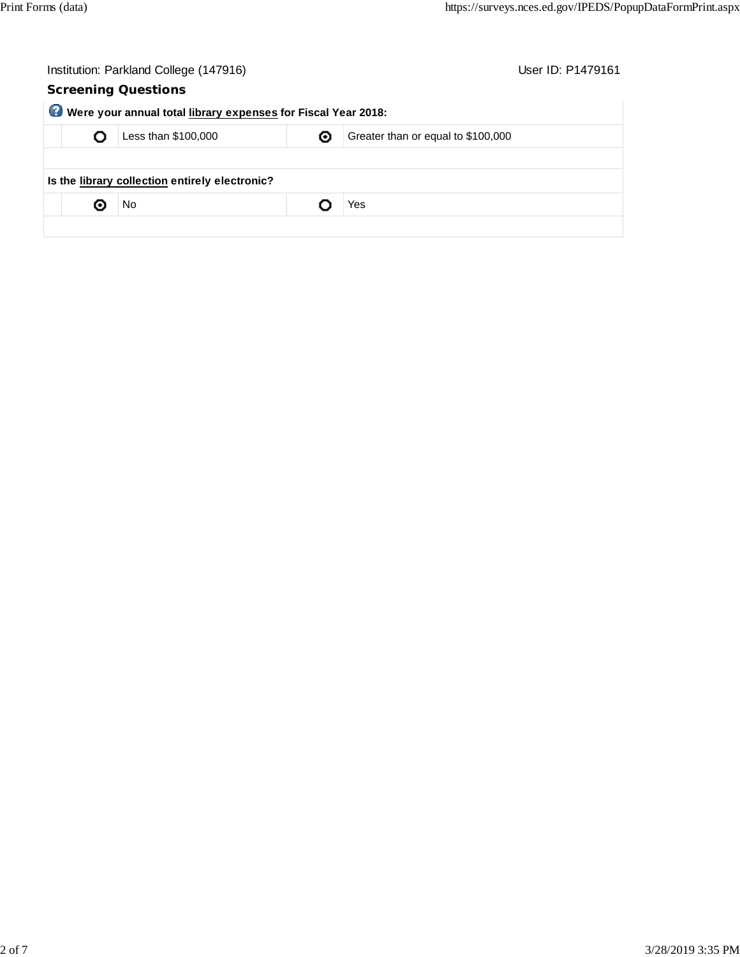| User ID: P1479161                  |
|------------------------------------|
|                                    |
|                                    |
| Greater than or equal to \$100,000 |
|                                    |
|                                    |
|                                    |
|                                    |
|                                    |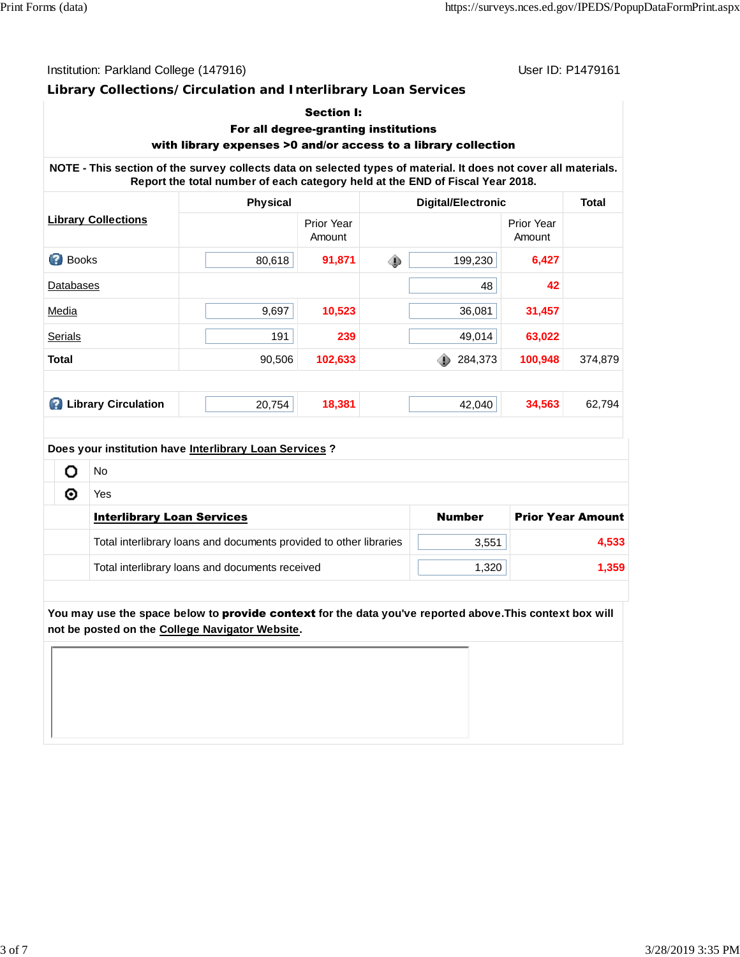Institution: Parkland College (147916) Contract College (147916)

### **Library Collections/Circulation and Interlibrary Loan Services**

### Section I:

# For all degree-granting institutions

# with library expenses >0 and/or access to a library collection

**NOTE - This section of the survey collects data on selected types of material. It does not cover all materials. Report the total number of each category held at the END of Fiscal Year 2018.**

|                                 | <b>Physical</b> |                      | <b>Digital/Electronic</b> |                      | <b>Total</b> |  |
|---------------------------------|-----------------|----------------------|---------------------------|----------------------|--------------|--|
| <b>Library Collections</b>      |                 | Prior Year<br>Amount |                           | Prior Year<br>Amount |              |  |
| ◙<br><b>Books</b>               | 80,618          | 91,871               | 199,230<br>⊕              | 6,427                |              |  |
| Databases                       |                 |                      | 48                        | 42                   |              |  |
| Media                           | 9,697           | 10,523               | 36,081                    | 31,457               |              |  |
| Serials                         | 191             | 239                  | 49,014                    | 63,022               |              |  |
| <b>Total</b>                    | 90,506          | 102,633              | 284,373                   | 100,948              | 374,879      |  |
|                                 |                 |                      |                           |                      |              |  |
| <b>Library Circulation</b><br>Ø | 20,754          | 18,381               | 42,040                    | 34,563               | 62,794       |  |
|                                 |                 |                      |                           |                      |              |  |

#### **Does your institution have Interlibrary Loan Services ?**

|  | No                                                                 |               |                          |
|--|--------------------------------------------------------------------|---------------|--------------------------|
|  | Yes                                                                |               |                          |
|  | <b>Interlibrary Loan Services</b>                                  | <b>Number</b> | <b>Prior Year Amount</b> |
|  | Total interlibrary loans and documents provided to other libraries | 3,551         | 4,533                    |
|  | Total interlibrary loans and documents received                    | 1,320         | 1,359                    |

**You may use the space below to** provide context **for the data you've reported above.This context box will not be posted on the College Navigator Website.**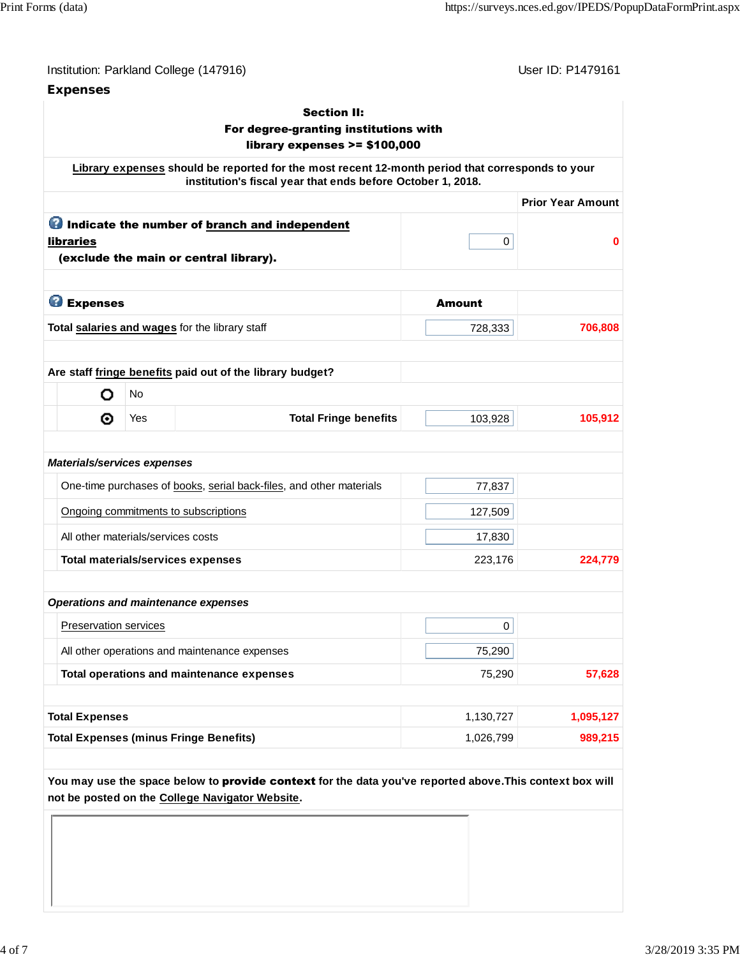# **Expenses**

User ID: P1479161

|                                    |           | For degree-granting institutions with<br>library expenses $>= $100,000$                                                                                         |                        |                          |
|------------------------------------|-----------|-----------------------------------------------------------------------------------------------------------------------------------------------------------------|------------------------|--------------------------|
|                                    |           | Library expenses should be reported for the most recent 12-month period that corresponds to your<br>institution's fiscal year that ends before October 1, 2018. |                        |                          |
|                                    |           |                                                                                                                                                                 |                        | <b>Prior Year Amount</b> |
|                                    |           | <b>O</b> Indicate the number of branch and independent                                                                                                          |                        |                          |
| libraries                          |           | (exclude the main or central library).                                                                                                                          | 0                      |                          |
| <b>B</b> Expenses                  |           |                                                                                                                                                                 | <b>Amount</b>          |                          |
|                                    |           | Total salaries and wages for the library staff                                                                                                                  | 728,333                | 706,808                  |
|                                    |           |                                                                                                                                                                 |                        |                          |
|                                    |           | Are staff fringe benefits paid out of the library budget?                                                                                                       |                        |                          |
| o                                  | <b>No</b> |                                                                                                                                                                 |                        |                          |
| ⊙                                  | Yes       | <b>Total Fringe benefits</b>                                                                                                                                    | 103,928                | 105,912                  |
| <b>Materials/services expenses</b> |           | One-time purchases of books, serial back-files, and other materials                                                                                             | 77,837                 |                          |
|                                    |           | Ongoing commitments to subscriptions                                                                                                                            | 127,509                |                          |
| All other materials/services costs |           |                                                                                                                                                                 | 17,830                 |                          |
|                                    |           | <b>Total materials/services expenses</b>                                                                                                                        | 223,176                | 224,779                  |
|                                    |           |                                                                                                                                                                 |                        |                          |
|                                    |           | <b>Operations and maintenance expenses</b>                                                                                                                      |                        |                          |
| Preservation services              |           |                                                                                                                                                                 | 0                      |                          |
|                                    |           | All other operations and maintenance expenses                                                                                                                   | 75,290                 |                          |
|                                    |           | Total operations and maintenance expenses                                                                                                                       | 75,290                 | 57,628                   |
|                                    |           |                                                                                                                                                                 |                        |                          |
|                                    |           |                                                                                                                                                                 | 1,130,727<br>1,026,799 | 1,095,127<br>989,215     |
| <b>Total Expenses</b>              |           | <b>Total Expenses (minus Fringe Benefits)</b>                                                                                                                   |                        |                          |

**not be posted on the College Navigator Website.**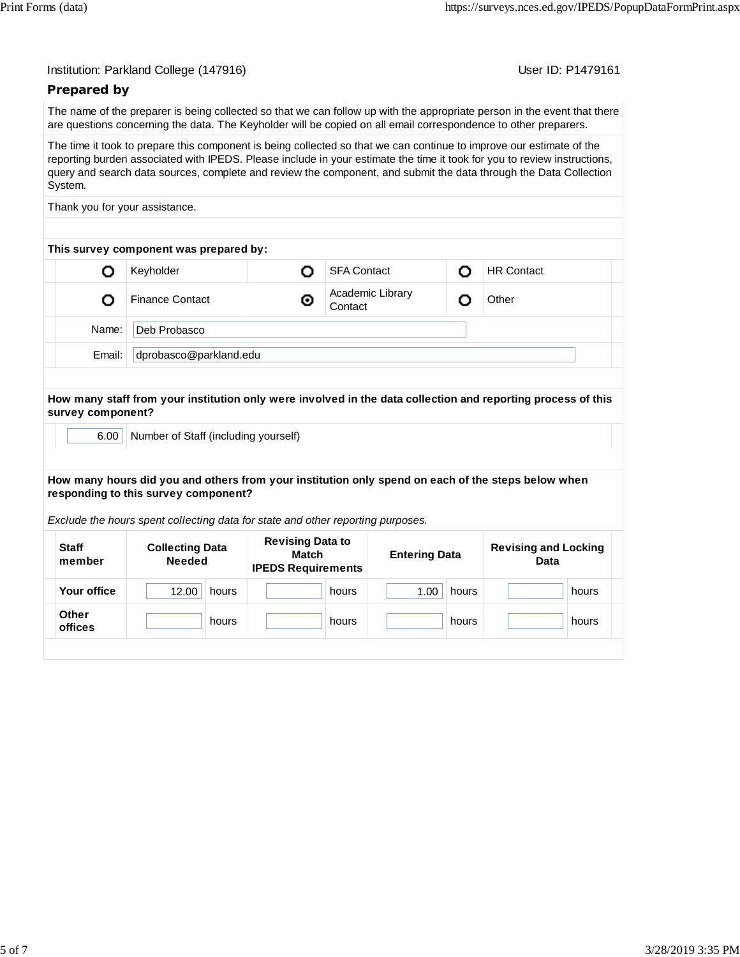| Institution: Parkland College (147916) |  |  |  |
|----------------------------------------|--|--|--|
|----------------------------------------|--|--|--|

User ID: P1479161

# **Prepared by**

The name of the preparer is being collected so that we can follow up with the appropriate person in the event that there are questions concerning the data. The Keyholder will be copied on all email correspondence to other preparers.

The time it took to prepare this component is being collected so that we can continue to improve our estimate of the reporting burden associated with IPEDS. Please include in your estimate the time it took for you to review instructions, query and search data sources, complete and review the component, and submit the data through the Data Collection System.

Thank you for your assistance.

| This survey component was prepared by: |                        |   |                             |  |                   |  |  |
|----------------------------------------|------------------------|---|-----------------------------|--|-------------------|--|--|
|                                        | Keyholder              |   | <b>SFA Contact</b>          |  | <b>HR Contact</b> |  |  |
|                                        | <b>Finance Contact</b> | ⊙ | Academic Library<br>Contact |  | Other             |  |  |
| Deb Probasco<br>Name:                  |                        |   |                             |  |                   |  |  |
| Email:                                 | dprobasco@parkland.edu |   |                             |  |                   |  |  |
|                                        |                        |   |                             |  |                   |  |  |

#### **How many staff from your institution only were involved in the data collection and reporting process of this survey component?**

6.00 Number of Staff (including yourself)

#### **How many hours did you and others from your institution only spend on each of the steps below when responding to this survey component?**

*Exclude the hours spent collecting data for state and other reporting purposes.*

| <b>Staff</b><br>member | <b>Collecting Data</b><br><b>Needed</b> | <b>Revising Data to</b><br><b>Match</b><br><b>IPEDS Requirements</b> | <b>Entering Data</b> | <b>Revising and Locking</b><br><b>Data</b> |
|------------------------|-----------------------------------------|----------------------------------------------------------------------|----------------------|--------------------------------------------|
| Your office            | 12.00<br>hours                          | hours                                                                | 1.00<br>hours        | hours                                      |
| Other<br>offices       | hours                                   | hours                                                                | hours                | hours                                      |
|                        |                                         |                                                                      |                      |                                            |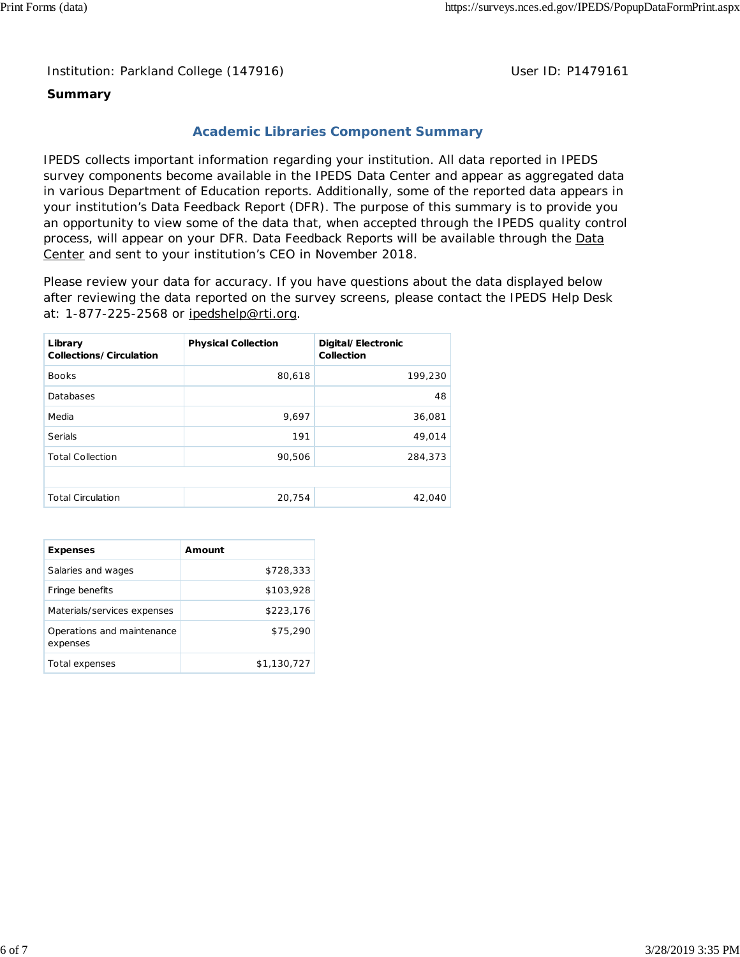Institution: Parkland College (147916) **Distribution: Parkland College (1479161** College College College College College College College College College College College College College College College College College Colle

### **Summary**

# **Academic Libraries Component Summary**

IPEDS collects important information regarding your institution. All data reported in IPEDS survey components become available in the IPEDS Data Center and appear as aggregated data in various Department of Education reports. Additionally, some of the reported data appears in your institution's Data Feedback Report (DFR). The purpose of this summary is to provide you an opportunity to view some of the data that, when accepted through the IPEDS quality control process, will appear on your DFR. Data Feedback Reports will be available through the Data Center and sent to your institution's CEO in November 2018.

Please review your data for accuracy. If you have questions about the data displayed below after reviewing the data reported on the survey screens, please contact the IPEDS Help Desk at: 1-877-225-2568 or ipedshelp@rti.org.

| Library<br>Collections/Circulation | <b>Physical Collection</b> | Digital/Electronic<br>Collection |
|------------------------------------|----------------------------|----------------------------------|
| <b>Books</b>                       | 80,618                     | 199,230                          |
| Databases                          |                            | 48                               |
| Media                              | 9,697                      | 36,081                           |
| Serials                            | 191                        | 49,014                           |
| <b>Total Collection</b>            | 90,506                     | 284,373                          |
|                                    |                            |                                  |
| <b>Total Circulation</b>           | 20,754                     | 42,040                           |

| <b>Expenses</b>                        | Amount      |
|----------------------------------------|-------------|
| Salaries and wages                     | \$728,333   |
| Fringe benefits                        | \$103,928   |
| Materials/services expenses            | \$223,176   |
| Operations and maintenance<br>expenses | \$75,290    |
| Total expenses                         | \$1,130,727 |